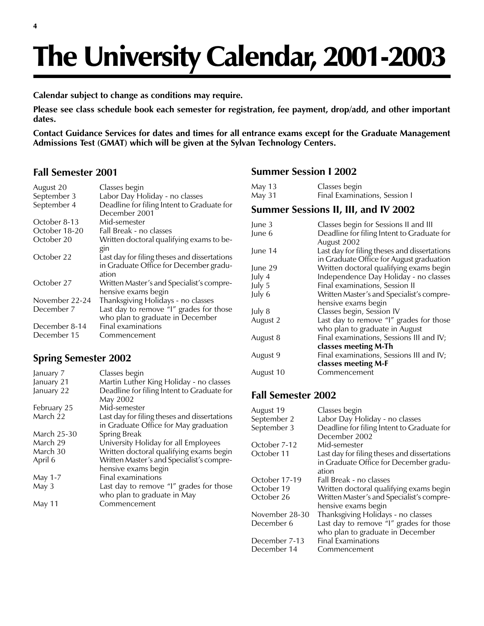# The University Calendar, 2001-2003

Calendar subject to change as conditions may require.

Please see class schedule book each semester for registration, fee payment, drop/add, and other important dates.

Contact Guidance Services for dates and times for all entrance exams except for the Graduate Management Admissions Test (GMAT) which will be given at the Sylvan Technology Centers.

## Fall Semester 2001

| August 20      | Classes begin                                |
|----------------|----------------------------------------------|
| September 3    | Labor Day Holiday - no classes               |
| September 4    | Deadline for filing Intent to Graduate for   |
|                | December 2001                                |
| October 8-13   | Mid-semester                                 |
| October 18-20  | Fall Break - no classes                      |
| October 20     | Written doctoral qualifying exams to be-     |
|                | gin                                          |
| October 22     | Last day for filing theses and dissertations |
|                | in Graduate Office for December gradu-       |
|                | ation                                        |
| October 27     | Written Master's and Specialist's compre-    |
|                | hensive exams begin                          |
| November 22-24 | Thanksgiving Holidays - no classes           |
| December 7     | Last day to remove "I" grades for those      |
|                | who plan to graduate in December             |
| December 8-14  | Final examinations                           |
| December 15    | Commencement                                 |
|                |                                              |

## Spring Semester 2002

| January 7   | Classes begin                                          |
|-------------|--------------------------------------------------------|
| January 21  | Martin Luther King Holiday - no classes                |
| January 22  | Deadline for filing Intent to Graduate for<br>May 2002 |
| February 25 | Mid-semester                                           |
| March 22    | Last day for filing theses and dissertations           |
|             | in Graduate Office for May graduation                  |
| March 25-30 | Spring Break                                           |
| March 29    | University Holiday for all Employees                   |
| March 30    | Written doctoral qualifying exams begin                |
| April 6     | Written Master's and Specialist's compre-              |
|             | hensive exams begin                                    |
| May 1-7     | Final examinations                                     |
| May 3       | Last day to remove "I" grades for those                |
| May 11      | who plan to graduate in May<br>Commencement            |
|             |                                                        |

## Summer Session I 2002

| May 13 | Classes begin                 |
|--------|-------------------------------|
| May 31 | Final Examinations, Session I |

### Summer Sessions II, III, and IV 2002

| June 3    | Classes begin for Sessions II and III                       |
|-----------|-------------------------------------------------------------|
| June 6    | Deadline for filing Intent to Graduate for                  |
| June 14   | August 2002<br>Last day for filing theses and dissertations |
|           | in Graduate Office for August graduation                    |
| June 29   | Written doctoral qualifying exams begin                     |
| July 4    | Independence Day Holiday - no classes                       |
| July 5    | Final examinations, Session II                              |
| July 6    | Written Master's and Specialist's compre-                   |
|           | hensive exams begin                                         |
| July 8    | Classes begin, Session IV                                   |
| August 2  | Last day to remove "I" grades for those                     |
|           | who plan to graduate in August                              |
| August 8  | Final examinations, Sessions III and IV;                    |
|           | classes meeting M-Th                                        |
| August 9  | Final examinations, Sessions III and IV;                    |
|           | classes meeting M-F                                         |
| August 10 | Commencement                                                |
|           |                                                             |

## Fall Semester 2002

| August 19      | Classes begin                                                                                   |
|----------------|-------------------------------------------------------------------------------------------------|
| September 2    | Labor Day Holiday - no classes                                                                  |
| September 3    | Deadline for filing Intent to Graduate for<br>December 2002                                     |
| October 7-12   | Mid-semester                                                                                    |
| October 11     | Last day for filing theses and dissertations<br>in Graduate Office for December gradu-<br>ation |
| October 17-19  | Fall Break - no classes                                                                         |
| October 19     | Written doctoral qualifying exams begin                                                         |
| October 26     | Written Master's and Specialist's compre-<br>hensive exams begin                                |
| November 28-30 | Thanksgiving Holidays - no classes                                                              |
| December 6     | Last day to remove "I" grades for those<br>who plan to graduate in December                     |
| December 7-13  | <b>Final Examinations</b>                                                                       |
| December 14    | Commencement                                                                                    |